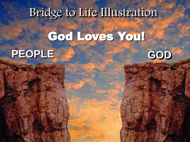# God Loves You!



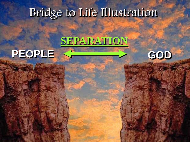#### **SEPARATION**



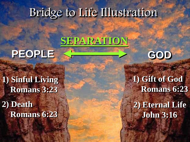### **SEPARATION**

## PEOPLE SHEEP SOD

#### **1) Sinful Living Romans 3:23**

**2) Death Romans 6:23**



#### **1) Gift of God Romans 6:23 2) Eternal Life John 3:16**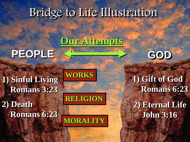#### **Our Attempts**

## PEOPLE SHEEP STOP

#### **1) Sinful Living Romans 3:23**

**2) Death Romans 6:23** **RELIGION**

**MORALITY**

**WORKS**



**1) Gift of God Romans 6:23 2) Eternal Life John 3:16**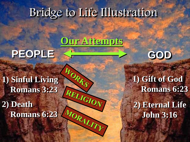#### **Our Attempts**

WORKS

RELIGION

## PEOPLE SHOW BOD

#### **1) Sinful Living Romans 3:23**

**2) Death** MORALITY **Romans 6:23**



**1) Gift of God Romans 6:23 2) Eternal Life John 3:16**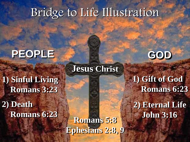**Jesus Christ**

#### PEOPLE **FOR A**  $\blacksquare$  GOD

**1) Sinful Living Romans 3:23**

**2) Death Romans 6:23**

**Ephesians 2:8, 9**



**1) Gift of God**

**Romans 6:23 2) Eternal Life John 3:16 Romans 5:8**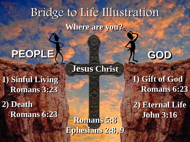# Bridge to Life Illustration **Where are you?**

**Jesus Christ**

# **PEOPLEA Example 2** GOD

**1) Sinful Living Romans 3:23**

**2) Death Romans 6:23**

**Ephesians 2:8, 9**



**1) Gift of God Romans 6:23**

**2) Eternal Life John 3:16 Romans 5:8**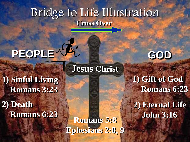#### Bridge to Life Illustration **Cross Over**

**Jesus Christ**

# **PEOPLE GOD**

**1) Sinful Living Romans 3:23**

**2) Death Romans 6:23**

**John 3:16 Romans 5:8 Ephesians 2:8, 9**



**1) Gift of God**

**Romans 6:23 2) Eternal Life**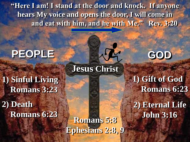**"Here I am! I stand at the door and knock. If anyone hears My voice and opens the door, I will come in and eat with him, and he with Me." Rev. 3:20**

**Jesus Christ**

#### PEOPLE **ALL**

**1) Sinful Living Romans 3:23**

**2) Death Romans 6:23**

**John 3:16 Romans 5:8 Ephesians 2:8, 9**

**1) Gift of God Romans 6:23**

**2) Eternal Life**